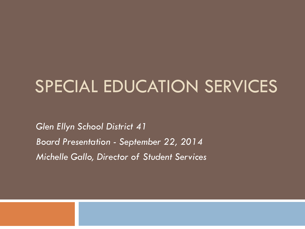## SPECIAL EDUCATION SERVICES

*Glen Ellyn School District 41 Board Presentation - September 22, 2014 Michelle Gallo, Director of Student Services*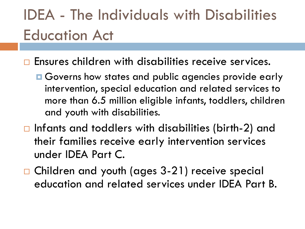### IDEA - The Individuals with Disabilities Education Act

- **Ensures children with disabilities receive services.** 
	- **□** Governs how states and public agencies provide early intervention, special education and related services to more than 6.5 million eligible infants, toddlers, children and youth with disabilities.
- $\Box$  Infants and toddlers with disabilities (birth-2) and their families receive early intervention services under IDEA Part C.
- □ Children and youth (ages 3-21) receive special education and related services under IDEA Part B.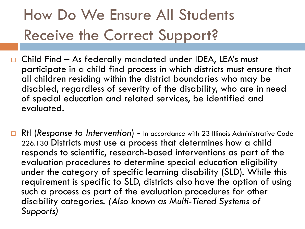## How Do We Ensure All Students Receive the Correct Support?

- Child Find As federally mandated under IDEA, LEA's must participate in a child find process in which districts must ensure that all children residing within the district boundaries who may be disabled, regardless of severity of the disability, who are in need of special education and related services, be identified and evaluated.
- □ RtI (*Response to Intervention*) In accordance with 23 Illinois Administrative Code 226.130 Districts must use a process that determines how a child responds to scientific, research-based interventions as part of the evaluation procedures to determine special education eligibility under the category of specific learning disability (SLD). While this requirement is specific to SLD, districts also have the option of using such a process as part of the evaluation procedures for other disability categories. *(Also known as Multi-Tiered Systems of Supports)*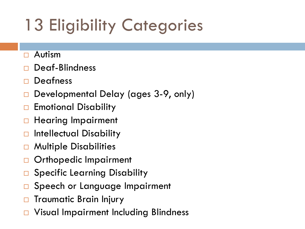# 13 Eligibility Categories

- Autism
- Deaf-Blindness
- Deafness
- Developmental Delay (ages 3-9, only)
- Emotional Disability
- Hearing Impairment
- □ Intellectual Disability
- Multiple Disabilities
- Orthopedic Impairment
- □ Specific Learning Disability
- Speech or Language Impairment
- Traumatic Brain Injury
- Visual Impairment Including Blindness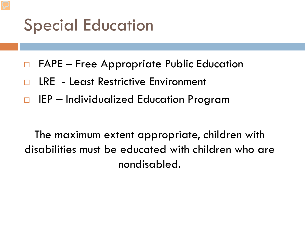### Special Education

- FAPE Free Appropriate Public Education
- LRE Least Restrictive Environment
- IEP Individualized Education Program

The maximum extent appropriate, children with disabilities must be educated with children who are nondisabled.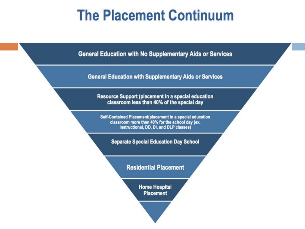### **The Placement Continuum**

**General Education with No Supplementary Aids or Services** 

**General Education with Supplementary Aids or Services** 

Resource Support (placement in a special education classroom less than 40% of the special day

Self-Contained Placement(placement in a special education classroom more than 40% for the school day (ex. Instructional, DD, DI, and DLP classes)

**Separate Special Education Day School** 

#### **Residential Placement**

**Home Hospital Placement**